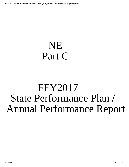# NE Part C

# FFY2017 State Performance Plan / Annual Performance Report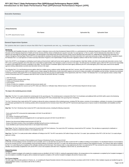# **Introduction to the State Performance Plan (SPP)/Annual Performance Report (APR) FFY 2017 Part C State Performance Plan (SPP)/Annual Performance Report (APR)**

| <b>Executive Summary:</b> |                  |                    |                      |
|---------------------------|------------------|--------------------|----------------------|
|                           |                  |                    |                      |
|                           |                  |                    |                      |
|                           |                  |                    |                      |
| <b>Attachments</b>        |                  |                    |                      |
|                           | <b>File Name</b> | <b>Uploaded By</b> | <b>Uploaded Date</b> |
| No APR attachments found. |                  |                    |                      |
|                           |                  |                    |                      |

### **General Supervision System:**

The systems that are in place to ensure that IDEA Part C requirements are met, e.g., monitoring systems, dispute resolution systems.

### **Monitoring**

The Individuals with Disabilities Education Act (IDEA) Part C system in Nebraska, known as the Early Development Network (EDN), is co-administered by the Nebraska Department of Education (NDE), Office of Special Education and the Nebraska Department of Health and Human Services (DHHS), Division of Medicaid and Long-term Care (aka "Co-Lead Agencies" or "the Co-Leads"). Per the Nebraska Early Intervention Act, these 2 agencies are responsible for the planning, implementation, and administration of the federal Early Intervention Services System and the Nebraska Early Intervention Act. Additionally, the Nebraska Early Intervention Act requires interagency Planning Region Teams (PRT's) to be responsible for assisting in the planning and implementation of the Early Intervention Act in each local community or region. The IDEA Part C regulations require the Nebraska Part C Co-Lead Agencies to monitor local Early Intervention Programs on the implementation of early intervention regulations outlined in NDE 92 NAC 52 (Rule 52) and DHHS 480 NAC 3.

Each of the 29 PRT's is an interagency coordinating council made up of local schools, health and human service agencies, community agencies, Head Start, families, and others who provide early intervention services. Each PRT covers a specific geographic area of the state and is responsible for implementation of an interagency system of services in the region. The EDN Services Coordination agency within the PRT assumes the responsibility for delivery of the entitlement of services coordination in the region. The EDN Services Coordination agency may be the same agency selected by the PRT as the lead agency, but in many cases, these are two separate agencies working collaboratively to provide early intervention services in the region.

The Nebraska Part C Co-Lead Monitoring process gathers data from multiple sources, analyzes results, identifies gaps with Part C services, rates PRT performance, and stimulates the development of improvement activities for the PRT. The monitoring process relies on multiple sources of data to gauge the effectiveness of early intervention supports and services for infants and toddlers with disabilities and their families. Nebraska has deve monitoring procedures which require PRT's to be reviewed at least once every three (3) years for implementation of the requirements under Part C of IDEA. The Nebraska Part C Co-Lead Agencies review a variety of data sources to document each PRT's compliance with NDE 92 NAC 52 (Rule 52) and DHHS 480 NAC 3, including:

1. IFSP File Review

- 2. Completion of prior Corrective Action Plans;
- 3. Policies and Procedures Review;
- 4. Forms Review;
- 5. Review of results from mediations, complaint and due process reports; and
- 6. Review of supporting data from sources such as PRT child count, Referral vs. Verification Data, Referral Sources, CAPTA, and Performance Reports for the last 3 years.

### **The steps in the monitoring process include:**

Step One: The Part C Co-Leads schedule the monitoring plan for the upcoming year. The monitoring team is composed of the Part C Co-Coordinators and additional NDE and DHHS staff to assist in the Monitoring process. The PRT Lead Agency receives the Notification letter informing the PRT of the scheduled date of the upcoming Part C Monitoring.

The Part C Monitoring Team meets with the PRT members to discuss the various components of the monitoring process, including IFSP file reviews, correction of noncompliance, verification of correction of noncompliance, how information generated from the monitoring activities will be incorporated into the Corrective Action Plan (CAP) and PRT Improvement planning process to improve results for infants/toddlers with disabilities and their families.

**Step Two:** The Part C Monitoring Team reviews the PRT's early intervention process, including the following components:

· Forms used by the PRT to document the implementation of 92 NAC 52 and 480 NAC 3

· IFSP Files

· PRT Policies, Procedures and Practices

· Review of any complaints filed and investigated by the Co-Lead Agencies pursuant to 92 NAC 52 and 480 NAC 3

· Review of any due process findings issued pursuant to 92 NAC 55

· Review of the timely correction of any noncompliance identified during the previous monitoring cycle

· Issues identified as part of previous fiscal review or sub-recipient fiscal reviews

Step Three: The Part C Monitoring Team conducts the Focused Onsite PRT Exit Conference. The result of the PRT monitoring is shared with the PRT members. This visit allows an opportunity for clarification or submission of evidence to determine whether or not compliance was met.

Step Four: The Part C Co-Leads provide written notification of Findings to the PRT. The PRT must submit a CAP within 45 days to the Part C Co-Leads. Upon submission of the PRT's CAP, the Part C Co-Leads will give approval in writing.

### **Step Five:** Verification of Correction of Noncompliance and Closeout of Monitoring Process. Pursuant to 92 NAC

52-004.02E, all noncompliance must be corrected as soon as possible, and in no case later than one year from the date on which the PRT is notified of a finding of noncompliance. For all individual instances of noncompliance that can be corrected, the PRT must immediately correct and submit evidence of correction to the Part C Co-Leads, who will document the receipt of evidence of the individual correction. The Closeout Letter will be completed by Part C Co-Leads following the completion of the verification activities and the final report. This Closeout Letter is a clear statement by the Part C Co-Leads that the PRT has corrected the areas of noncompliance previo identified, has successfully completed the CAP, and the PRT is now in full compliance with IDEA Part C Regulations, NDE 92 NAC 52, and DHHS 480 NAC 3.

### **Dispute Resolution**

**Complaints**

The NDE Complaint Investigator will complete the complaint process as identified in 92 NAC 51-009.11, meeting the appropriate timelines. All correspondence to the complainants is completed by the Complaint Investigator. If any noncompliance is identified, the agency will be contacted and required to complete a CAP, and the Complaint Investigator will send the Closeout Letter.

### **Due Process Hearings**

The NDE Legal Office provides guidance to Parents, etc., on completing the Dispute Resolution element of the due process hearing in accordance with 92 NAC 51-009.13. Other mediation requests are handled through the regional Mediation Centers, in accordance with 92 NAC 51-009.12.<br>1/24/2019 1/24/2019 Page 2 of 29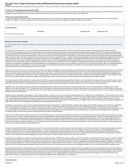Mediation<br>Mediation is an integral part of the complaint and due process procedures. There are six (6) Mediation Centers located regionally throughout the State of Nebraska to provide services to parents, families and scho

## **Provision of a Free Appropriate Public Education (FAPE)**

Since Nebraska is a Birth-mandate state, the Nebraska Department of Education, Office of Special Education works with school districts, service agencies and approved cooperatives to ensure that all infants and toddlers wit disabilities in the State of Nebraska are receiving a free, appropriate public education (FAPE) in their natural environment to the maximum extent appropriate.

### **Timely and Accurate Reporting of Data**

The Nebraska Department of Education, Office of Special Education works with PRT's, school districts, service agencies and approved cooperatives to ensure that all data requirements are met in reporting the data. "Deadlines are Deadlines" is the rule for reporting data on time, and ensuring that the data is accurate and not needing to be returned for further review and revision.

| <b>Attachments</b>        |                  |                    |                      |  |  |  |  |  |
|---------------------------|------------------|--------------------|----------------------|--|--|--|--|--|
|                           | <b>File Name</b> | <b>Uploaded By</b> | <b>Uploaded Date</b> |  |  |  |  |  |
| No APR attachments found. |                  |                    |                      |  |  |  |  |  |

### **Technical Assistance System:**

The mechanisms that the State has in place to ensure the timely delivery of high quality, evidenced based technical assistance and support to early intervention service (EIS) programs.

For several years, the Nebraska Part C Co-Leads-- Department of Education (NDE) and the Department of Health and Human Services (NDHHS), also referred to in Nebraska as the Early Development Network (EDN)—have provided significant training and technical assistance (TA) consistent with evidence-based research in early intervention/early childhood special education (EI/ECSE) and the mission, beliefs and principles promoted by National Early Childhood Technical Assistance Center (NECTAC). Intensive statewide training began in 2001 focusing on the provision of services in natural environments, use of the Primary Service Provider service delivery model, and coaching and teaming practices. In later years, training in the use of the Routines Based Interview (RBI) as a child and family assessment process and writing functional and meaningful child and family outcomes was added. The RBI is an assessment tool that uses the research about how young children learn, i.e. through natural learning opportunities within their family, to facilitate family engagement toward improv child and family outcomes. These training initiatives were provided in large part by Dr. Robin McWilliam of the Siskin Institute in TN, and Dathan Rush and M'Lisa Shelden of the Family Infant Preschool Program in NC-national researchers and presenters on evidence based practices in early intervention-- and were coordinated through the NDE Early Childhood Training Center (ECTC), which continues to be the hub for professional development across all early childhood systems in Nebraska including childcare, Head Start, Part B 619 and Part C. ECTC coordinates a centralized system of professional development opportunities and tracking across settings where young children with disabilities and their families participate. Local Planning Region Teams (PRT) and school districts also access the ECTC with their training requests, which are coordinated regionally by Early Learning Connection coordinators (ELCs). The ELCs are responsible for ensuring professional development opportunities are provided to meet state and federal requirements for all early care and education professionals within their region and are ultimately part of the ECTC system.

Although many of our state's efforts are now primarily related to the RDA work, Nebraska has additional ongoing training efforts that peripherally impact the State Identified Measureable Result (SIMR) as well. These traini efforts include: Special Care which focuses on child care providers who care for children with disabilities; Early Learning Guidelines trainings which provide information about developmentally appropriate practices across domains in inclusive settings; Teaching Pyramid; CAPTA-related trainings to child welfare, court and EI personnel; and Circle of Security training – all of which are supported through collaboration with multiple state and private agencies - Nebraska Children and Families Foundation, Nebraska Department of Health and Human Services, Nebraska Head Start State Collaboration Office, University of Nebraska's Center for Children, Families and the Law, University of Nebraska's Munroe Meyer Institute, Higher Education partners at the University of Nebraska Lincoln and Omaha, and the Nebraska Infant Mental Health Association.

The Parent Training & Information center (PTI) is a family partner to the EDN Co-Leads and provides numerous training activities for families, services coordinators and service providers as well as PRT members. Family representatives have the opportunity to influence training and TA activities both at the state and local levels by participating in planning sessions and through the provision of feedback. Trainings offered to families inc about EDN, IFSP and IEP training, and Rebuilding Dreams which addresses family grief at learning that their child has a disability. Families can also call PTI at any time to receive individual TA.

Beginning in 2012, after spending several years using 3 different child assessment tools to collect data for the federal child outcomes (in Nebraska this is referred to as "Results Matter"), Nebraska moved to a single assessment tool, Teaching Strategies GOLD. Currently, annual Basic GOLD training for new teachers and new administrators is offered in rotating locations so as to provide access for new staff including early intervention providers as part of the broader early care and education system. The Teaching Strategies GOLD trainings include instruction in use of the on-line system for data collection and the ELCs are responsible for coordinating an individual TA needs within their regions.

Nebraska has spent considerable energy building an "internal" support structure—necessary if we are to move innovative practices and programs from initial training to full implementation. This effort began sincerely in 200 when two Nebraska practitioners attended the Siskin National Routines Based Interview (RBI) training institute in Chattanooga, TN to become nationally certified interviewers. Building infrastructure from the top down, the C Co-Lead Coordinators and the Part B 619 Coordinator, along with the two newly certified RBI trainers formed a State level implementation team. Using the RBI as the first of Nebraska's "usable interventions", the state began to pilot a statewide implementation plan of training and TA for the RBI as well as other evidence based practices. Over the next 4 years, an additional sixteen service providers and services coordinators attended the Siskin Institute with the intent of strategically placing certified RBI trainers geographically across the state.

Simultaneously, over these same 4 years, the ECTC coordinated professional development opportunities, funded by NDE/DHHS, to address evidence-based practices directly impacted by use of the RBI, e.g. Support Based Home Visits, Integrated Service Delivery, and Collaborative Consultation with Childcare. Professional development opportunities and TA have been facilitated through the use of the Nebraska Team Self-Assessment Tool—Implementing Evidence-Based Practices in Natural and Inclusive Environments for Children Birth to 3. This tool was adapted from the original work of Robin McWilliam. The Nebraska version was piloted with 10 teams from across the state who came together to reach consensus about priority practices needing ongoing TA. Based on this initial work, these ten teams became our state's first local implementation teams. The statewide coordinators provide TA to support the work of these teams through biannual conference calls and assistance.

Because use of the RBI impacts the overall EI process, the focus of the stakeholder groups and our professional development/TA expanded to include evidence based practices beyond child and family assessment. Using the implementation science research, the state leadership team developed an implementation plan aimed at bringing other EI teams from across the state (both Educational Service Unit and school district based teams) on board. In order to sustain the work already begun, the leadership team looked to the RBI trainers and coaches on these stakeholder teams to be not only leaders within their programs, or PRT, but to assist the state level team in planning for new EI teams. The team self-assessments, facilitated by one or both of the two statewide consultants, became a pre-requisite for targeted TA to new teams and results in a direct communication link back to the state level team regarding implementation problems, issues or challenges. RBI trainer/coach conference calls scheduled along with the existing stakeholder calls has allowed for the development of an RBI statewide fidelity process as well as specific planning for ongoing training and TA.

The Early Development Network (EDN) website provides access for service providers, administrators, services coordinators, planning region teams and families to all things Part C related including regulations, guidelines, examples and samples from local PRTs, and training announcements. The site also connects to on-line training modules which have been developed over the past 3 years to address such foundational topics as the development of quality IFSPs, home visitation principles, Medicaid waiver, services coordination and pre-service training for new services coordinators. Additionally, because of the ongoing work with the RBI, a website focusing on evidence based practices for service providers, services coordinators and administrators was launched three years ago. This site is organized around the aforementioned EI team self-assessment tool to allow users just-in-time, informational, one-pagers highlighting a description of each practice, its basis in regulation and/or research, and on-line tools to use.

New EDN services coordinators are required to complete online services coordination training. Additional online training available to all services coordinators, service providers and Part C supervisors, includes "Orientati to the Early Development Network in Nebraska," "Home Visitation Core Principles and Practices", and a website devoted to IFSP development. In addition, the Co-Leads provide TA by request through face to face meetings, conference calls, and webinars. A conference held every other year and hosted by the Co-Leads provides a forum for training on the Part C regulations and offers technical assistance guidance. In addition, the conference provides information related to RDA, including: (1) Nebraska's RDA strategies-the RBI, functional child and family outcomes, and routines based home visits; and (2) the shift in focus from individual EI teams to the Planning Region Teams (PRTs) for both training and evaluation purposes as part of RDA. Also, the Co-Leads have been and will continue to provide targeted training/TA as a result of needs identified via the monitoring process.

Because Nebraska has chosen to implement RBEI within pilot PRTs initially, professional development and TA efforts are being planned on both a micro (pilots) and a macro level (statewide over the next 5 years). Webinars have been developed to provide an overview of the RDA work, introduce the RBI, and provide functional outcome guidance. In addition, there will be RBI and functional outcome training in the local pilot PRT sites. Regional RBEI trainer/coaches have also been developed and will be utilized over the next year to implement data-driven professional development and TA. Over the course of the next 5 years, evaluation procedures will be put in plac for the implementation of the RBI, the functional child and family outcomes and quality home visits. Ongoing feedback to the pilot PRTs regarding evaluation results will be conducted. The results will be used to make adjustments to training and TA initially at the pilot PRT level, but ultimately to the statewide plan to bring the state to "full" implementation.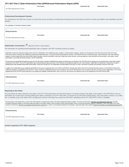|                           | File Name | Uploaded By | <b>Uploaded Date</b> |
|---------------------------|-----------|-------------|----------------------|
| No APR attachments found. |           |             |                      |

# **Professional Development System:**

The mechanisms the State has in place to ensure that service providers are effectively providing services that improve results for infants and toddlers with disabilities and their families.

| See explanation in Techinical Assistance System                                                                                                                                                                                                                                                                                                                                                                                                                                                                                                                                                                                                                                                                                              |                    |                      |
|----------------------------------------------------------------------------------------------------------------------------------------------------------------------------------------------------------------------------------------------------------------------------------------------------------------------------------------------------------------------------------------------------------------------------------------------------------------------------------------------------------------------------------------------------------------------------------------------------------------------------------------------------------------------------------------------------------------------------------------------|--------------------|----------------------|
|                                                                                                                                                                                                                                                                                                                                                                                                                                                                                                                                                                                                                                                                                                                                              |                    |                      |
| <b>Attachments</b>                                                                                                                                                                                                                                                                                                                                                                                                                                                                                                                                                                                                                                                                                                                           |                    |                      |
| <b>File Name</b>                                                                                                                                                                                                                                                                                                                                                                                                                                                                                                                                                                                                                                                                                                                             | Uploaded By        | <b>Uploaded Date</b> |
| No APR attachments found.                                                                                                                                                                                                                                                                                                                                                                                                                                                                                                                                                                                                                                                                                                                    |                    |                      |
|                                                                                                                                                                                                                                                                                                                                                                                                                                                                                                                                                                                                                                                                                                                                              |                    |                      |
| Stakeholder Involvement: sapply this to all Part C results indicators                                                                                                                                                                                                                                                                                                                                                                                                                                                                                                                                                                                                                                                                        |                    |                      |
| The mechanism for soliciting broad stakeholder input on targets in the SPP, including revisions to targets.                                                                                                                                                                                                                                                                                                                                                                                                                                                                                                                                                                                                                                  |                    |                      |
| Stakeholder Involvement: Nebraska regularly seeks input from stakeholders when establishing policy, regulation or implementation strategies. Specific to the development of the State Improvement Plan and Annual<br>Performance Report, Nebraska has established a broad based stakeholder group. The group includes representatives of parents, school district Directors of Special Education, special education staff, early childhood<br>programs, Routines Based Early Intervention (RBEI), higher education, services coordination, Head Start, Health and Human Services, community agencies, early intervention service providers, court system, school<br>psychologists, early childhood special education, and the medical field. |                    |                      |
| This group has met periodically throughout the past year and will continue meeting to establish/review targets and performance as indicated in the SPP/APR and the development and implementation of the State Systemic<br>Improvement Plan (SSIP). Thus far the Stakeholders have reviewed historical data around each of the indicators and established targets for each of the indicators. Additionally, the Stakeholders assisted the Co-leads in<br>establishing the State Identified Measurable Result (SIMR). During 2015 through 2017 the Stakeholders provided guidance and input on Phase II and Phase III activities and evaluation measures of the SSIP.                                                                         |                    |                      |
| In addition to the Stakeholder group established specifically for the purpose of gathering input on the SSIP and SPP/APR, Nebraska also obtains input from the Special Education Advisory Council (SEAC) and the Early<br>Childhood Interagency Coordinating Council (ECICC). These Councils are established pursuant to 34 CFR 300.167 and 34 CFR 303.600 and as such provide for input from a diverse group of stakeholders. The Councils<br>reqularly discuss the SPP/APR and provide input on the targets and strategies contained therein. SEAC and ECICC will continue to be utilized for input on the development of the SSIP and the SIMR.                                                                                           |                    |                      |
| <b>Attachments</b>                                                                                                                                                                                                                                                                                                                                                                                                                                                                                                                                                                                                                                                                                                                           |                    |                      |
| <b>File Name</b>                                                                                                                                                                                                                                                                                                                                                                                                                                                                                                                                                                                                                                                                                                                             | <b>Uploaded By</b> | <b>Uploaded Date</b> |
| No APR attachments found.                                                                                                                                                                                                                                                                                                                                                                                                                                                                                                                                                                                                                                                                                                                    |                    |                      |
|                                                                                                                                                                                                                                                                                                                                                                                                                                                                                                                                                                                                                                                                                                                                              |                    |                      |
|                                                                                                                                                                                                                                                                                                                                                                                                                                                                                                                                                                                                                                                                                                                                              |                    |                      |
| <b>Reporting to the Public:</b>                                                                                                                                                                                                                                                                                                                                                                                                                                                                                                                                                                                                                                                                                                              |                    |                      |
| How and where the State reported to the public on the FFY 2016 performance of each EIS Program or Provider located in the State on the targets in the SPP/APR as soon as<br>practicable, but no later than 120 days following the State's submission of its FFY 2016 APR, as required by 34 CFR §303.702(b)(1)(i)(A); and a description of where, on its Web                                                                                                                                                                                                                                                                                                                                                                                 |                    |                      |
| site, a complete copy of the State's SPP, including any revision if the State has revised the SPP that it submitted with its FFY 2016 APR in 2018, is available.                                                                                                                                                                                                                                                                                                                                                                                                                                                                                                                                                                             |                    |                      |
|                                                                                                                                                                                                                                                                                                                                                                                                                                                                                                                                                                                                                                                                                                                                              |                    |                      |
| Planning Region Team performance on each of the APR indicators is reported each spring on the Early Development Network website. The report can be found at, http://edn.ne.gov/spp/regional-data.html. The Early<br>Development Network website is a site that provides information to the public, families, service providers and the Planning Region Teams on the Early Intervention program in Nebraska. A copy of the state's SPP is also<br>located on the EDN site, http://edn.ne.gov/spp/annual-performance-report.html, as well as on the Nebraska Department of Education, Special Education office website at http://www.education.ne.gov/sped/publicreporting.html.                                                               |                    |                      |
| <b>Attachments</b>                                                                                                                                                                                                                                                                                                                                                                                                                                                                                                                                                                                                                                                                                                                           |                    |                      |
|                                                                                                                                                                                                                                                                                                                                                                                                                                                                                                                                                                                                                                                                                                                                              |                    |                      |
| <b>File Name</b>                                                                                                                                                                                                                                                                                                                                                                                                                                                                                                                                                                                                                                                                                                                             | <b>Uploaded By</b> | <b>Uploaded Date</b> |

No APR attachments found.

**Actions required in FFY 2016 response**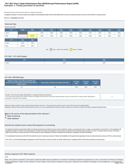# **Indicator 1: Timely provision of services FFY 2017 Part C State Performance Plan (SPP)/Annual Performance Report (APR)**

Monitoring Priority: Early Intervention Services In Natural Environments

**Compliance indicator: Percent of infants and toddlers with Individual Family Service Plans (IFSPs) who receive the early intervention services on their IFSPs in a timely manner.**

### **(20 U.S.C. 1416(a)(3)(A) and 1442)**

| <b>Historical Data</b> |                                                         |        |      |      |      |      |      |      |      |      |      |
|------------------------|---------------------------------------------------------|--------|------|------|------|------|------|------|------|------|------|
| Baseline Data: 2005    |                                                         |        |      |      |      |      |      |      |      |      |      |
| <b>FFY</b>             | 2004                                                    | 2005   | 2006 | 2007 | 2008 | 2009 | 2010 | 2011 | 2012 | 2013 | 2014 |
| Target                 |                                                         |        | 100% | 100% | 100% | 100% | 100% | 100% | 100% | 100% | 100% |
| Data                   |                                                         | 99.43% | 100% | 100% | 100% | 100% | 100% | 100% | 100% | 100% | 100% |
| <b>FFY</b>             | 2015                                                    | 2016   |      |      |      |      |      |      |      |      |      |
| Target                 | 100%                                                    | 100%   |      |      |      |      |      |      |      |      |      |
| Data                   | 98.55%                                                  | 100%   |      |      |      |      |      |      |      |      |      |
|                        | Key: Gray - Data Prior to Baseline<br>Yellow - Baseline |        |      |      |      |      |      |      |      |      |      |

# **FFY 2017 - FFY 2018 Targets**

| <b>TEM</b><br>. | 2017 | 2018 |
|-----------------|------|------|
| Target          | 100% | 100% |

# **FFY 2017 SPP/APR Data**

| Number of infants and toddlers with IFSPs who<br>receive the early intervention services on their IFSPs in<br>a timely manner | Total number of infants and toddlers with IFSPs $^{\prime}$ | <b>FFY 2016</b><br>Data | <b>FFY 2017</b><br>Target | <b>FFY 2017</b><br><b>Data</b> |
|-------------------------------------------------------------------------------------------------------------------------------|-------------------------------------------------------------|-------------------------|---------------------------|--------------------------------|
| 144                                                                                                                           | 144                                                         | 100%                    | 100%                      | 100%                           |

| Number of documented delavs attributable to exceptional family circumstances                                                                                                |  |
|-----------------------------------------------------------------------------------------------------------------------------------------------------------------------------|--|
| This number will be added to the "Number of infants and toddlers with IFSPs who receive their early intervention services on their IFSPs in a timely manner" field above to |  |
| calculate the numerator for this indicator.                                                                                                                                 |  |

Include your State's criteria for "timely" receipt of early intervention services (i.e., the time period from parent consent to when IFSP services are actually initiated). Nebraska's criteria for timely receipt of early intervention services is as soon as possible after the parent consents in writing to the service but not later than 30 days of receipt of parental consent.

**What is the source of the data provided for this indicator?**

*<u>State monitoring</u>* 

 **State database**

**Describe the method used to select EIS programs for monitoring.**

The Nebraska Department of Education (NDE) and Nebraska Department of Health and Human Services (NDHHS), acting as co-lead agencies (the Co-Leads), are responsible for ensuring Part C of the Individuals with Disabilities Education Act (IDEA) is fully implemented for all infants and toddlers with disabilities and their families through the Early Development Network (EDN). The Part C Co-leads monitor the state's 29 Planning Region Teams (PRTs) on a three year cycle. IFSP files and other records maintained by Services Coordinators are reviewed for compliance with IDEA and Medicaid.

The Individualized Family Service Plan (IFSP) checklist file review for Improving Learning for Children with Disabilities (ILCD) gathers data regarding the receipt of early intervention services on IFSPs in a timely manner

In FFY 2017, 10 of the Planning Regions participated in an IFSP file review for a total of 144 files. All 144 files (100%) were in compliance with the IFSP services provided in a timely manner.

# **Actions required in FFY 2016 response**

none

Note: Any actions required in last year's response table that are related to correction of findings should be responded to on the "Correction of Previous Findings of Noncompliance" page of this indicator. If your State's only actions required in last year's response are related to findings of noncompliance, a text field will 1/24/2019 Page 5 of 29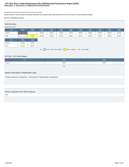# **Indicator 2: Services in Natural Environments FFY 2017 Part C State Performance Plan (SPP)/Annual Performance Report (APR)**

Monitoring Priority: Early Intervention Services In Natural Environments

**Results indicator: Percent of infants and toddlers with IFSPs who primarily receive early intervention services in the home or community-based settings.**

# **(20 U.S.C. 1416(a)(3)(A) and 1442)**

| <b>Historical Data</b><br>Baseline Data: 2005                                            |        |        |        |        |        |        |        |        |        |        |        |
|------------------------------------------------------------------------------------------|--------|--------|--------|--------|--------|--------|--------|--------|--------|--------|--------|
| <b>FFY</b>                                                                               | 2004   | 2005   | 2006   | 2007   | 2008   | 2009   | 2010   | 2011   | 2012   | 2013   | 2014   |
| Target $\geq$                                                                            |        |        | 86.00% | 86.50% | 87.00% | 87.50% | 88.00% | 90.00% | 90.50% | 96.75% | 96.75% |
| Data                                                                                     |        | 91.03% | 99.04% | 96.03% | 92.70% | 95.90% | 96.75% | 97.86% | 97.60% | 98.40% | 98.32% |
| <b>FFY</b>                                                                               | 2015   | 2016   |        |        |        |        |        |        |        |        |        |
| Target $\geq$                                                                            | 97.00% | 97.50% |        |        |        |        |        |        |        |        |        |
| Data                                                                                     | 98.27% | 98.98% |        |        |        |        |        |        |        |        |        |
| $\sqrt{G}$ Gray - Data Prior to Baseline<br>Yellow - Baseline Blue - Data Update<br>Key: |        |        |        |        |        |        |        |        |        |        |        |

# **FFY 2017 - FFY 2018 Targets**

| <b>FFY</b>    | 2017   | 2018   |
|---------------|--------|--------|
| Target $\geq$ | 98.00% | 98.20% |
|               | Key:   |        |

# **Targets: Description of Stakeholder Input**

Please reference Introduction - Description of Stakeholder Involvement.

# **Actions required in FFY 2016 response**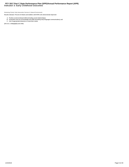# **Indicator 3: Early Childhood Outcomes FFY 2017 Part C State Performance Plan (SPP)/Annual Performance Report (APR)**

Monitoring Priority: Early Intervention Services In Natural Environments

**Results indicator: Percent of infants and toddlers with IFSPs who demonstrate improved:**

- 
- A. Positive social-emotional skills (including social relationships);<br>B. Acquisition and use of knowledge and skills (including early language/ communication); and<br>C. Use of appropriate behaviors to meet their needs.

**(20 U.S.C. 1416(a)(3)(A) and 1442)**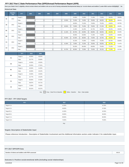**Does your State's Part C eligibility criteria include infants and toddlers who are at risk of having substantial developmental delays (or "at-risk infants and toddlers") under IDEA section 632(5)(B)(i)? No**

| Historical Data |  |
|-----------------|--|
|-----------------|--|

|                | <b>Baseline</b><br>Year | <b>FFY</b>    | 2004 | 2005 | 2006 | 2007 | 2008   | 2009   | 2010   | 2011   | 2012   | 2013   | 2014   |
|----------------|-------------------------|---------------|------|------|------|------|--------|--------|--------|--------|--------|--------|--------|
| A <sub>1</sub> | 2013                    | Target $\geq$ |      |      |      |      |        | 24.00% | 70.90% | 71.40% | 71.90% | 39.40% | 39.50% |
|                |                         | Data          |      |      |      |      | 23.50% | 70.40% | 74.00% | 78.00% | 66.00% | 39.46% | 58.01% |
| A <sub>2</sub> | 2013                    | Target $\geq$ |      |      |      |      |        | 49.00% | 74.10% | 74.60% | 75.10% | 43.60% | 43.70% |
|                |                         | Data          |      |      |      |      | 48.50% | 73.60% | 75.40% | 79.60% | 37.10% | 43.69% | 29.20% |
| <b>B1</b>      | 2013                    | Target $\geq$ |      |      |      |      |        | 21.60% | 61.20% | 61.70% | 62.20% | 40.10% | 40.20% |
|                |                         | Data          |      |      |      |      | 21.10% | 60.70% | 63.00% | 66.80% | 58.50% | 40.23% | 50.39% |
| <b>B2</b>      | 2013                    | Target $\geq$ |      |      |      |      |        | 46.90% | 64.80% | 71.30% | 71.80% | 33.40% | 33.50% |
|                |                         | Data          |      |      |      |      | 46.40% | 64.30% | 68.60% | 73.00% | 33.70% | 33.53% | 26.69% |
| C <sub>1</sub> | 2013                    | Target $\geq$ |      |      |      |      |        | 42.10% | 74.30% | 74.80% | 75.30% | 55.70% | 55.80% |
|                |                         | Data          |      |      |      |      | 41.60% | 73.80% | 74.20% | 78.90% | 60.00% | 55.79% | 71.47% |
| C <sub>2</sub> | 2013                    | Target $\geq$ |      |      |      |      |        | 55.20% | 69.40% | 69.90% | 70.40% | 71.10% | 71.20% |
|                |                         | Data          |      |      |      |      | 54.70% | 68.90% | 72.90% | 75.90% | 26.10% | 71.18% | 53.76% |

|                | <b>FFY</b>    | 2015   | 2016   |
|----------------|---------------|--------|--------|
| A1             | Target $\geq$ | 40.00% | 40.50% |
|                | Data          | 53.77% | 55.68% |
| A <sub>2</sub> | Target $\geq$ | 44.50% | 45.50% |
|                | Data          | 29.45% | 27.91% |
| <b>B1</b>      | Target $\geq$ | 40.50% | 41.00% |
|                | Data          | 46.09% | 45.22% |
| <b>B2</b>      | Target $\geq$ | 34.00% | 34.50% |
|                | Data          | 22.77% | 23.10% |
| C <sub>1</sub> | Target $\geq$ | 56.50% | 57.00% |
|                | Data          | 58.87% | 64.71% |
| C <sub>2</sub> | Target $\geq$ | 72.00% | 73.00% |
|                | Data          | 50.31% | 63.37% |

Key: Gray – Data Prior to Baseline Vellow – Baseline Blue – Data Update

# **FFY 2017 - FFY 2018 Targets**

| FFY.             | 2017   | 2018   |
|------------------|--------|--------|
| Target $A1 \geq$ | 41.00% | 41.50% |
| Target $A2 \geq$ | 46.00% | 47.00% |
| Target B1 $\geq$ | 41.50% | 42.50% |
| Target $B2 \geq$ | 35.00% | 36.00% |
| Target C1 $\geq$ | 58.50% | 60.00% |
| Target $C2 \geq$ | 74.00% | 75.00% |

Key:

# **Targets: Description of Stakeholder Input**

Please reference Introduction - Description of Stakeholder Involvement and the Additional Information section under Indicator 3 for stakeholder input.

# **FFY 2017 SPP/APR Data**

**Number of infants and toddlers with IFSPs assessed** 969.00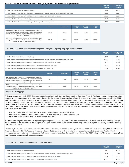|                                                                                                                                 | <b>Number of</b><br><b>Children</b> | Percentage of<br><b>Children</b> |
|---------------------------------------------------------------------------------------------------------------------------------|-------------------------------------|----------------------------------|
| a. Infants and toddlers who did not improve functioning                                                                         | 33.00                               | 3.41%                            |
| b. Infants and toddlers who improved functioning but not sufficient to move nearer to functioning comparable to same-aged peers | 454.00                              | 46.85%                           |
| c. Infants and toddlers who improved functioning to a level nearer to same-aged peers but did not reach it                      | 196.00                              | 20.23%                           |
| d. Infants and toddlers who improved functioning to reach a level comparable to same-aged peers                                 | 191.00                              | 19.71%                           |
| e. Infants and toddlers who maintained functioning at a level comparable to same-aged peers                                     | 95.00                               | 9.80%                            |

|                                                                                                                                                                                                                                                  | <b>Numerator</b> | <b>Denominator</b> | <b>FFY 2016</b><br><b>Data</b> | <b>FFY 2017</b><br><b>Target</b> | <b>FFY 2017</b><br><b>Data</b> |
|--------------------------------------------------------------------------------------------------------------------------------------------------------------------------------------------------------------------------------------------------|------------------|--------------------|--------------------------------|----------------------------------|--------------------------------|
| A1. Of those children who entered or exited the program below age<br>expectations in Outcome A, the percent who substantially increased<br>their rate of growth by the time they turned 3 years of age or exited the<br>program (c+d)/(a+b+c+d). | 387.00           | 874.00             | 55.68%                         | 41.00%                           | 44.28%                         |
| A2. The percent of infants and toddlers who were functioning within<br>age expectations in Outcome A by the time they turned 3 years of age<br>or exited the program (d+e)/(a+b+c+d+e).                                                          | 286.00           | 969.00             | 29.45%                         | 46.00%                           | 29.51%                         |

# **Outcome B. Acquisition and use of knowledge and skills (including early language/ communication)**

|                                                                                                                                 | <b>Number of</b><br><b>Children</b> | Percentage of<br><b>Children</b> |
|---------------------------------------------------------------------------------------------------------------------------------|-------------------------------------|----------------------------------|
| a. Infants and toddlers who did not improve functioning                                                                         | 16.00                               | 1.65%                            |
| b. Infants and toddlers who improved functioning but not sufficient to move nearer to functioning comparable to same-aged peers | 516.00                              | 53.25%                           |
| c. Infants and toddlers who improved functioning to a level nearer to same-aged peers but did not reach it                      | 153.00                              | 15.79%                           |
| d. Infants and toddlers who improved functioning to reach a level comparable to same-aged peers                                 | 193.00                              | 19.92%                           |
| e. Infants and toddlers who maintained functioning at a level comparable to same-aged peers                                     | 91.00                               | 9.39%                            |

|                                                                                                                                                                                                                                                  | <b>Numerator</b> | <b>Denominator</b> | <b>FFY 2016</b><br><b>Data</b> | <b>FFY 2017</b><br><b>Target</b> | <b>FFY 2017</b><br>Data |
|--------------------------------------------------------------------------------------------------------------------------------------------------------------------------------------------------------------------------------------------------|------------------|--------------------|--------------------------------|----------------------------------|-------------------------|
| B1. Of those children who entered or exited the program below age<br>expectations in Outcome B, the percent who substantially increased<br>their rate of growth by the time they turned 3 years of age or exited the<br>program (c+d)/(a+b+c+d). | 346.00           | 878.00             | 45.22%                         | 41.50%                           | 39.41%                  |
| B2. The percent of infants and toddlers who were functioning within<br>age expectations in Outcome B by the time they turned 3 years of age<br>or exited the program (d+e)/(a+b+c+d+e).                                                          | 284.00           | 969.00             | 23.10%                         | 35.00%                           | 29.31%                  |

## **Reasons for B1 Slippage**

This year Nebraska's Part C OSEP data demonstrated a decline in both Summary Statement 1 for Outcomes A and B. This large decrease was unexpected as the past two years the scores have been stable either staying the same or increasing slightly. Recently there was a meeting of states that are using the GOLD online calculations for OSEP reporting. In reviewing the FY17 data, it was discovered that nearly all states using the Teaching Strategies GOLD online system for generating OSEP reports have seen slippage or decreases in Summary Statements for these two outcomes that are inconsistent with any changes in state infrastructure or improvement activities. In August 2017, Teaching Strategies converted their online platform to accommodate the changes made to the tool to include items up to third grade. Collectively the state representatives proposed that the following factors related to this platform change may be contributing to this slippage of data including:

- changes to indicators and dimensions as a result of expanding the GOLD to third grade;
- teacher/practitioner confusion due to changes to the front-end look of the online platform; and
- fewer data points on which data can be entered for each child.

Nebraska is working with other states using Teaching Strategies GOLD and DaSy and ECTA centers to conduct an in-depth analysis with Teaching Strategies staff to determine the root cause of the unexpected changes to these summary statements and develop solutions to improve the validity of data for reporting outcomes in the future.

In addition, for Outcome C, there was a significant increase in percentages for both Summary Statement 1 and 2. This pattern was brought to the attention of Teaching Strategies this fall. Teaching Strategies indicated that this was a result of new items being used to evaluate this outcome. This fall, Teaching Strategies and representatives from states and DaSy worked together to readjust the algorithms to calculate the OSEP categories. This is just being completed and these new calculations will be used next year.

## **Outcome C: Use of appropriate behaviors to meet their needs**

|                                                                                                                                 | Number of<br><b>Children</b> | Percentage of<br><b>Children</b> |
|---------------------------------------------------------------------------------------------------------------------------------|------------------------------|----------------------------------|
| a. Infants and toddlers who did not improve functioning                                                                         | 3.00                         | 0.31%                            |
| b. Infants and toddlers who improved functioning but not sufficient to move nearer to functioning comparable to same-aged peers | 69.00                        | 7.12%                            |
| c. Infants and toddlers who improved functioning to a level nearer to same-aged peers but did not reach it                      | 23.00                        | 2.37%                            |
| d. Infants and toddlers who improved functioning to reach a level comparable to same-aged peers                                 | 473.00                       | 48.81%                           |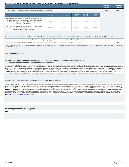|                                                                                                                                                                                                                                                  |                  |             |                                |                                  |                         | Number of<br><b>Children</b> | Percentage of<br><b>Children</b> |
|--------------------------------------------------------------------------------------------------------------------------------------------------------------------------------------------------------------------------------------------------|------------------|-------------|--------------------------------|----------------------------------|-------------------------|------------------------------|----------------------------------|
| e. Infants and toddlers who maintained functioning at a level comparable to same-aged peers                                                                                                                                                      |                  |             |                                |                                  |                         | 401.00                       | 41.38%                           |
|                                                                                                                                                                                                                                                  | <b>Numerator</b> | Denominator | <b>FFY 2016</b><br><b>Data</b> | <b>FFY 2017</b><br><b>Target</b> | <b>FFY 2017</b><br>Data |                              |                                  |
| C1. Of those children who entered or exited the program below age<br>expectations in Outcome C, the percent who substantially increased<br>their rate of growth by the time they turned 3 years of age or exited the<br>program (c+d)/(a+b+c+d). | 496.00           | 568.00      | 64.71%                         | 58.50%                           | 87.32%                  |                              |                                  |
| C2. The percent of infants and toddlers who were functioning within<br>age expectations in Outcome C by the time they turned 3 years of age<br>or exited the program (d+e)/(a+b+c+d+e).                                                          | 874.00           | 969.00      | 63.37%                         | 74.00%                           | 90.20%                  |                              |                                  |

# **The number of infants and toddlers who did not receive early intervention services for at least six months before exiting the Part C program**

| The number of infants and toddlers who exited the Part C program during the reporting period, as reported in the State's part C exiting 618 data    |  |
|-----------------------------------------------------------------------------------------------------------------------------------------------------|--|
| The number of those infants and toddlers who did not receive early intervention services for at least six months before exiting the Part C program. |  |

Please note that this data about the number of infants and toddlers who did not receive early intervention services for at least six months before exiting the Part C program is optional in this FFY16 submission. It will be in the FFY17 submission.

### **Was sampling used?** No

### **Did you use the Early Childhood Outcomes Center (ECO) Child Outcomes Summary (COS) process?** No **Provide the criteria for defining "comparable to same-aged peers.**

Teaching Strategies (TS) GOLD is a scientifically-based authentic, observational assessment system designed for children from birth through kindergarten. In Nebraska, it is used for children from birth to kindergarten to evaluate their development and learning across the three functional outcomes. At a child's entry and exit, teachers/providers gather and document observations in the GOLD online system, which form the basis of their scorin across four areas of development (socialemotional, physical, language, and cognitive) and two areas of content learning (literacy and mathematics). Objectives and dimensions that comprise each of the functional outcomes are based on a crosswalk recommended by the national Early Childhood Outcomes (ECO) Center. Criteria for defining "comparable to same-aged peers" was determined through Item Response Theory (IRT) analyses by Teaching Strategies, based on a national sample. The algorithms result in a 7-point rating system that parallels the ECO Child Outcome Summary (COS) ratings. These ratings by age are programmed into the GOLD online system which generates a rating based on TS GOLD scores. Research studies examining the reliability and validity of TS GOLD may be found at http://teachingstrategies.com/assessment/research/.

### **List the instruments and procedures used to gather data for this indicator.**

Teaching Strategies (TS) GOLD, an authentic, observational assessment designed for children birth through 3<sup>rd</sup> grade, is the assessment used to gather data for Indicator C3. At the child's entry or at six months of age an at the time of exit from Part C or at age 3, teachers/providers gather and document information from observations of the child or from an interview (e.g., Routine Based Interview) with the parent(s). This data forms the ba the scoring across four areas of development (social emotional, physical, language, and cognitive) and two areas of content learning (literacy and mathematics). TS GOLD objectives and dimensions that comprise each of the functional outcomes that are reported are based on a crosswalk recommended by the national Early Child Outcomes (ECO) Center. Criteria for defining "comparable to same-aged peers" was determined through Item Response Theory (IRT) analyses by Teaching Strategies, based on a national sample. The algorithms result in a 7-point rating system that parallels the Child Outcomes Summary (COS) ratings. These ratings by age are programmed into the TS GOLD online system which generates a rating based on TS GOLD scores for each functional outcomes. Research studies examining the reliability and validity of the TS GOLD may be found at: https://teachingstrategies.com/our-approach/research/

### **Actions required in FFY 2016 response**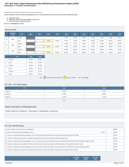# **Indicator 4: Family Involvement FFY 2017 Part C State Performance Plan (SPP)/Annual Performance Report (APR)**

Monitoring Priority: Early Intervention Services In Natural Environments

**Results indicator: Percent of families participating in Part C who report that early intervention services have helped the family:**

- **A. Know their rights;**
- **B. Effectively communicate their children's needs; and C. Help their children develop and learn.**

**(20 U.S.C. 1416(a)(3)(A) and 1442)**

## **Historical Data**

|   | <b>Baseline</b><br>Year | <b>FFY</b>    | 2004 | 2005 | 2006   | 2007   | 2008   | 2009   | 2010   | 2011   | 2012   | 2013   | 2014   |
|---|-------------------------|---------------|------|------|--------|--------|--------|--------|--------|--------|--------|--------|--------|
| A | 2006                    | Target $\geq$ |      |      |        |        | 74.00% | 74.00% | 74.00% | 74.00% | 74.00% | 83.00% | 83.00% |
|   |                         | Data          |      |      | 73.80% | 74.80% | 77.20% | 77.90% | 78.40% | 82.10% | 83.84% | 85.26% | 86.35% |
| в |                         | Target $\geq$ |      |      |        |        | 71.00% | 71.00% | 71.00% | 71.00% | 71.00% | 80.50% | 81.00% |
|   | 2006                    | Data          |      |      | 70.50% | 69.90% | 73.40% | 75.00% | 74.40% | 79.90% | 80.50% | 80.94% | 83.75% |
|   |                         | Target $\geq$ |      |      |        |        | 84.00% | 84.00% | 84.00% | 84.00% | 84.00% | 91.30% | 91.30% |
| с | 2006                    | Data          |      |      | 84.00% | 88.30% | 88.10% | 89.30% | 88.90% | 91.30% | 93.32% | 91.36% | 92.60% |

|   | <b>FFY</b>    | 2015   | 2016   |
|---|---------------|--------|--------|
| А | Target $\geq$ | 84.00% | 85.00% |
|   | Data          | 86.33% | 85.92% |
| B | Target $\geq$ | 81.50% | 82.00% |
|   | Data          | 84.80% | 84.62% |
| c | Target $\geq$ | 91.40% | 91.50% |
|   | Data          | 95.84% | 88.74% |

Key: Gray – Data Prior to Baseline Vellow – Baseline Blue – Data Update

# **FFY 2017 - FFY 2018 Targets**

| 86.00%<br>87.00% |
|------------------|
| 82.30%<br>82.60% |
| 91.60%<br>91.70% |
|                  |

Key:

# **Targets: Description of Stakeholder Input**

Please reference Introduction - Description of Stakeholder Involvement.

## **FFY 2017 SPP/APR Data**

| Number of families to whom surveys were distributed                                                                                                                         | 1882.00 |
|-----------------------------------------------------------------------------------------------------------------------------------------------------------------------------|---------|
| Number of respondent families participating in Part C<br>81.62%                                                                                                             | 1536.00 |
| A1. Number of respondent families participating in Part C who report that early intervention services have helped the family know their rights                              | 1342.00 |
| A2. Number of responses to the question of whether early intervention services have helped the family know their rights                                                     | 1536.00 |
| B1. Number of respondent families participating in Part C who report that early intervention services have helped the family effectively communicate their children's needs | 1327.00 |
| B2. Number of responses to the question of whether early intervention services have helped the family effectively communicate their children's needs                        | 1536.00 |
| C1. Number of respondent families participating in Part C who report that early intervention services have helped the family help their children develop and leam           | 1380.00 |
| C2. Number of responses to the question of whether early intervention services have helped the family help their children develop and learn                                 | 1536.00 |

| <b>FFY 2016</b> | <b>FFY 2017</b> | <b>FFY 2017</b> |
|-----------------|-----------------|-----------------|
| <b>Data</b>     | <b>Target</b>   | Data            |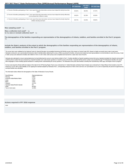|                                                                                                                                                                     | <b>FFY 2016 Data</b> | <b>FFY 2017</b><br><b>Target</b> | FFY 2017 Data |
|---------------------------------------------------------------------------------------------------------------------------------------------------------------------|----------------------|----------------------------------|---------------|
| A. Percent of families participating in Part C who report that early intervention services have helped the family know their<br>rights                              | 85.92%               | 86.00%                           | 87.37%        |
| B. Percent of families participating in Part C who report that early intervention services have helped the family effectively<br>communicate their children's needs | 84.62%               | 82.30%                           | 86.39%        |
| C. Percent of families participating in Part C who report that early intervention services have helped the family help their<br>children develop and learn          | 88.74%               | 91.60%                           | 89.84%        |

Was sampling used? No

Was a collection tool used? Yes **Is it a new or revised collection tool?** No

**The demographics of the families responding are representative of the demographics of infants, toddlers, and families enrolled in the Part C program.** Yes

**Include the State's analysis of the extent to which the demographics of the families responding are representative of the demographics of infants, toddlers, and families enrolled in the Part C program.**

The survey items were validated by the National Center for Special Education Accountability Monitoring (NCSEAM) as part of the Impact on Family Scale (IFS). Based on highly successful return rates in past years, Nebraska continued to use a personalized introductory letter to families before delivering the survey, a follow-up postcard to families, and personal contacts by local representatives to remind families to return the surve of 1882 surveys were delivered to families with children in Part C in 2017-2018; 1536 surveys were completed and returned for a state return rate of 81.62%.

Nebraska also attempted to ensure representativeness by hand-delivering the survey to every family enrolled in Part C. Families identified as Spanish-speaking received all survey materials translated into Spanish and provi a toll-free phone number that was answered by a Spanish translator who could answer questions or read the survey to the family. A separate toll-free phone number was provided through PTI-Nebraska for families who speak<br>oth

Surveys were keyed by Westat staff and analysis of the data for the 29 Planning Region Teams was conducted by Dr. Haidee Bernstein at Westat. Rasch Analysis was conducted by Dr. Batya Elbaum that revealed a mean IFS measure at 714.61 with a scale reliability at .88. Applying the standard adopted by Nebraska Part C, corresponding measures of 538.9, 555.9 and 516.1 for sub-indicators 4a, 4b, and 4c respectively, the percent of agreement surveyed families was calculated.

The information below reflects the demographics of the State of Nebraska's Survey Results.

| Race/Ethnicity                   | Representativeness |
|----------------------------------|--------------------|
| Missing                          | 0.85%              |
| American Indian/Alaska Native    | 1.17%              |
| Asian                            | 2.80%              |
| <b>Black</b>                     | 3.45%              |
| Hispanic                         | 12.57%             |
| Hawaiian Native/Pacific Islander | $0\%$              |
| White                            | 66.93%             |
| Two or more races                | 12.34%             |

## **Actions required in FFY 2016 response**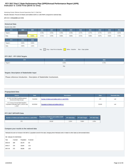# **Indicator 5: Child Find (Birth to One) FFY 2017 Part C State Performance Plan (SPP)/Annual Performance Report (APR)**

Monitoring Priority: Effective General Supervision Part C / Child Find

**Results indicator: Percent of infants and toddlers birth to 1 with IFSPs compared to national data.**

# **(20 U.S.C. 1416(a)(3)(B) and 1442)**

| <b>Historical Data</b><br>Baseline Data: 2005                                                          |       |       |       |       |       |       |       |       |       |       |       |
|--------------------------------------------------------------------------------------------------------|-------|-------|-------|-------|-------|-------|-------|-------|-------|-------|-------|
| <b>FFY</b>                                                                                             | 2004  | 2005  | 2006  | 2007  | 2008  | 2009  | 2010  | 2011  | 2012  | 2013  | 2014  |
| Target $\geq$                                                                                          |       |       | 0.75% | 0.75% | 0.76% | 0.76% | 0.77% | 0.77% | 0.77% | 0.57% | 0.57% |
| Data                                                                                                   |       | 0.64% | 0.71% | 0.78% | 0.66% | 0.68% | 0.71% | 0.68% | 0.57% | 0.61% | 0.75% |
| <b>FFY</b>                                                                                             | 2015  | 2016  |       |       |       |       |       |       |       |       |       |
| Target $\geq$                                                                                          | 0.60% | 0.63% |       |       |       |       |       |       |       |       |       |
| Data                                                                                                   | 0.80% | 1.01% |       |       |       |       |       |       |       |       |       |
| $\boxed{\phantom{a}}$ Gray - Data Prior to Baseline<br>Yellow - Baseline<br>Key:<br>Blue - Data Update |       |       |       |       |       |       |       |       |       |       |       |

# **FFY 2017 - FFY 2018 Targets**

| <b>FFY</b>    | 2017  | 2018  |
|---------------|-------|-------|
| Target $\geq$ | 0.66% | 0.70% |
|               |       |       |

# **Targets: Description of Stakeholder Input**

Please reference Introduction - Description of Stakeholder Involvement.

# **Prepopulated Data**

| <b>Source</b>                                                                             | <b>Date</b> | <b>Description</b>                                   | <b>Data</b> | <b>Overwrite Data</b> |
|-------------------------------------------------------------------------------------------|-------------|------------------------------------------------------|-------------|-----------------------|
| SY 2017-18 Child Count/Educational<br><b>Environment Data Groups</b>                      | 7/11/2018   | Number of infants and toddlers birth to 1 with IFSPs | 272         | null                  |
| U.S. Census Annual State Resident<br>Population Estimates April 1, 2010 to July<br>1.2017 | 6/12/2018   | Population of infants and toddlers birth to 1        | 26,340      | null                  |

# **FFY 2017 SPP/APR Data**

| Number of infants and toddlers birth to 1 with IFSPs 1 | Population of infants and toddlers birth<br>to 1 | FFY 2016 Data | FFY 2017 Target | FFY 2017 Data |  |
|--------------------------------------------------------|--------------------------------------------------|---------------|-----------------|---------------|--|
| 272                                                    | 26.340                                           | 1.01%         | 0.66%           | 1.03%         |  |

# **Compare your results to the national data**

| Nebraska has seen an increase in the birth to 1 population served in the state, changing where Nebraska ranks in relation to other states as demonstrated below: |          |            |          |  |  |  |  |
|------------------------------------------------------------------------------------------------------------------------------------------------------------------|----------|------------|----------|--|--|--|--|
| NE- Indicator C5- BirthToOne                                                                                                                                     |          |            |          |  |  |  |  |
| Year                                                                                                                                                             | # served | Population | % served |  |  |  |  |
| 2015-16                                                                                                                                                          | 209      | 26,178     | 0.8      |  |  |  |  |
| 2016-17                                                                                                                                                          | 270      | 26,594     | 1.02     |  |  |  |  |
| 2017-18                                                                                                                                                          | 272      | 26,340     | 1.03     |  |  |  |  |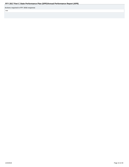**Actions required in FFY 2016 response**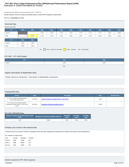# **Indicator 6: Child Find (Birth to Three) FFY 2017 Part C State Performance Plan (SPP)/Annual Performance Report (APR)**

Monitoring Priority: Effective General Supervision Part C / Child Find

**Results indicator: Percent of infants and toddlers birth to 3 with IFSPs compared to national data.**

# **(20 U.S.C. 1416(a)(3)(B) and 1442)**

| <b>Historical Data</b><br>Baseline Data: 2005                                    |       |       |       |       |       |       |       |       |       |       |       |
|----------------------------------------------------------------------------------|-------|-------|-------|-------|-------|-------|-------|-------|-------|-------|-------|
| <b>FFY</b>                                                                       | 2004  | 2005  | 2006  | 2007  | 2008  | 2009  | 2010  | 2011  | 2012  | 2013  | 2014  |
| Target $\geq$                                                                    |       |       | 1.75% | 1.75% | 1.76% | 1.76% | 1.77% | 1.77% | 1.77% | 1.81% | 1.84% |
| Data                                                                             |       | 1.67% | 1.74% | 1.74% | 1.75% | 1.86% | 1.94% | 1.91% | 1.88% | 1.85% | 1.91% |
| <b>FFY</b>                                                                       | 2015  | 2016  |       |       |       |       |       |       |       |       |       |
| Target $\geq$                                                                    | 1.86% | 1.88% |       |       |       |       |       |       |       |       |       |
| Data                                                                             | 2.06% | 2.32% |       |       |       |       |       |       |       |       |       |
| Gray - Data Prior to Baseline<br>Yellow - Baseline<br>Blue - Data Update<br>Key: |       |       |       |       |       |       |       |       |       |       |       |

# **FFY 2017 - FFY 2018 Targets**

| <b>FFY</b>    | 2017  | 2018  |
|---------------|-------|-------|
| Target $\geq$ | 1.90% | 1.92% |
|               | Key:  |       |

# **Targets: Description of Stakeholder Input**

Please reference Introduction - Description of Stakeholder Involvement.

# **Prepopulated Data**

| <b>Source</b>                                                                             | <b>Date</b> | <b>Description</b>                                   | <b>Data</b> | <b>Overwrite Data</b> |
|-------------------------------------------------------------------------------------------|-------------|------------------------------------------------------|-------------|-----------------------|
| SY 2017-18 Child Count/Educational<br><b>Environment Data Groups</b>                      | 7/11/2018   | Number of infants and toddlers birth to 3 with IFSPs | 1,964       |                       |
| U.S. Census Annual State Resident<br>Population Estimates April 1, 2010 to July<br>1.2017 | 6/12/2018   | Population of infants and toddlers birth to 3        | 79,828      |                       |

# **FFY 2017 SPP/APR Data**

| Number of infants and toddlers birth to 3 with | Population of infants and toddlers birth to 3 | <b>FFY 2016</b> | <b>FFY 2017</b> | <b>FFY 2017</b> |
|------------------------------------------------|-----------------------------------------------|-----------------|-----------------|-----------------|
| <b>IFSPs</b>                                   |                                               | Data            | Target          | Data            |
| .964                                           | 79.828                                        | 2.32%           | .90%            | 2.46%           |

# **Compare your results to the national data**

ļ

|         | NE-Indicator C6-BirthToThree |            |          |
|---------|------------------------------|------------|----------|
| Year    | # served                     | Population | % served |
| 2015-16 | 1.619                        | 78.546     | 2.06     |
| 2016-17 | 1.859                        | 80.064     | 2.32     |
| 2017-18 | 1.964                        | 79.828     | 246      |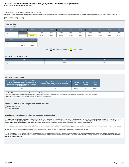# **Indicator 7: 45-day timeline FFY 2017 Part C State Performance Plan (SPP)/Annual Performance Report (APR)**

Monitoring Priority: Effective General Supervision Part C / Child Find

**Compliance indicator: Percent of eligible infants and toddlers with IFSPs for whom an initial evaluation and initial assessment and an initial IFSP meeting were conducted within Part C's 45-day timeline.**

### **(20 U.S.C. 1416(a)(3)(B) and 1442)**

| <b>Historical Data</b><br>Baseline Data: 2005 |        |        |        |                                                      |        |        |        |        |        |        |        |
|-----------------------------------------------|--------|--------|--------|------------------------------------------------------|--------|--------|--------|--------|--------|--------|--------|
| <b>FFY</b>                                    | 2004   | 2005   | 2006   | 2007                                                 | 2008   | 2009   | 2010   | 2011   | 2012   | 2013   | 2014   |
| Target                                        |        |        | 100%   | 100%                                                 | 100%   | 100%   | 100%   | 100%   | 100%   | 100%   | 100%   |
| Data                                          |        | 79.80% | 61.36% | 92.23%                                               | 90.83% | 97.20% | 99.60% | 97.80% | 95.90% | 96.15% | 99.11% |
| <b>FFY</b>                                    | 2015   | 2016   |        |                                                      |        |        |        |        |        |        |        |
| Target                                        | 100%   | 100%   |        |                                                      |        |        |        |        |        |        |        |
| Data                                          | 85.51% | 93.66% |        |                                                      |        |        |        |        |        |        |        |
|                                               |        |        |        | Key: Gray - Data Prior to Baseline Yellow - Baseline |        |        |        |        |        |        |        |

# **FFY 2017 - FFY 2018 Targets**

| FFY    | 2017 | 2018 |
|--------|------|------|
| Target | 100% | 100% |

# **FFY 2017 SPP/APR Data**

| Number of eligible infants and toddlers with IFSPs for<br>whom an initial evaluation and assessment and an<br>initial IFSP meeting was conducted within Part C's<br>45-day timeline | Number of eligible infants and toddlers evaluated and<br>assessed for whom an initial IFSP meeting was<br>required to be conducted                                           | <b>FFY 2016</b><br>Data | <b>FFY 2017</b><br><b>Target</b> | <b>FFY 2017</b><br><b>Data</b> |
|-------------------------------------------------------------------------------------------------------------------------------------------------------------------------------------|------------------------------------------------------------------------------------------------------------------------------------------------------------------------------|-------------------------|----------------------------------|--------------------------------|
| 140                                                                                                                                                                                 | 144                                                                                                                                                                          | 93.66%                  | 100%                             | 97.22%                         |
| Number of documented delays attributable to exceptional family circumstances<br>within Part C's 45-day timeline" field above to calculate the numerator for this indicator.         | This number will be added to the "Number of eligible infants and toddlers with IFSPs for whom an initial evaluation and assessment and an initial IFSP meeting was conducted |                         |                                  |                                |

**What is the source of the data provided for this indicator?**

- **State monitoring**
- **State database**

# **Describe the method used to select EIS programs for monitoring.**

The Nebraska Department of Education (NDE) and Nebraska Department of Health and Human Services (NDHHS), acting as co-lead agencies (the Co-Leads), are responsible for ensuring Part C of the Individuals with Disabilities Education Act (IDEA) is fully implemented for all infants and toddlers with disabilities and their families through the Early Development Network (EDN). The Part C Co-Leads monitor the state's 29 Planning Region Teams (PRTs) on a three year cycle. IFSP files and other records maintained by Services Coordinators are reviewed for compliance with IDEA and Medicaid.

The Individualized Family Serivce Plan (IFSP) checklist file review for Improving Learning for Children with Disabilities (ILCD) gathers data regarding the receipt of early intervention services on IFSPs in a timely manner

In FFY 2017, 10 of the Planning Regions participated in an IFSP file review for a total of 144 files. In 4 of the 144 files (100%) the 45 day timeline was not met.

The Co-Leads notified the 4 programs in writing concerning the findings of noncompliance and the requirement that the noncompliance be corrected as soon as possible. The State has verified that the EIS programs are correctly implementing the specific regulatory requirements and have ensured that the children received an initial evaluation, assessment and IFSP meeting, although late, and the services listed on the IFSP within a timely manner from the IFSP meeting.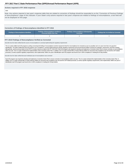### **Actions required in FFY 2016 response**

### none

Note: Any actions required in last year's response table that are related to correction of findings should be responded to on the "Correction of Previous Findings of Noncompliance" page of this indicator. If your State's only actions required in last year's response are related to findings of noncompliance, a text field will not be displayed on this page.

### **Correction of Findings of Noncompliance Identified in FFY 2016**

| Findings of Noncompliance Identified | <b>Findings of Noncompliance Verified as</b><br><b>Corrected Within One Year</b> | <b>Findings of Noncompliance Subsequently</b><br>Corrected | <b>Findings Not Yet Verified as Corrected</b> |
|--------------------------------------|----------------------------------------------------------------------------------|------------------------------------------------------------|-----------------------------------------------|
|                                      |                                                                                  |                                                            |                                               |

### **FFY 2016 Findings of Noncompliance Verified as Corrected**

Describe how the State verified that the source of noncompliance is correctly implementing the regulatory requirements

The Co-Leads notified each EIS program in writing concerning the finding of noncompliance and the requirement that the noncompliance be corrected as soon as possible, but in no case more than one year from identification. The State verified that each EIS program not in compliance, correctly implemented the specific regulatory requirement and ensured that all children received an evaluation, assessment, and IFSP meeting, although late, and the services listed on the IFSP in a timely manner as noted in the FFY 2016 APR. Each EIS program was required to develop and implement a Corrective Action Plan to ensure correction of noncompliance within one year. The Co-Leads monitored the implementation of the Corrective Action Plan. In addition, the Co-Leads reviewed files of newly-referred children for assurance that compliance was met and the CAP-related processes, as well as specific regulatory requirements, were implemented. Within one year of identification each EIS program was found to be in 100% compliance in meeting the 45-day timeline.

Describe how the State verified that each individual case of noncompliance was corrected

Each EIS program was required to develop and implement a Corrective Action Plan to ensure correction of noncompliance within one year. The Co-Leads monitored the implementation of the Corrective Action Plan. In addition, the Co-Leads reviewed files of newly-referred children for assurance that compliance was met and the CAP-related processes, as well as specific regulatory requirements, were implemented. Within one year of identification each EIS program was found to be in 100% compliance in meeting the 45-day timeline.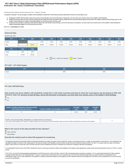# **Indicator 8A: Early Childhood Transition FFY 2017 Part C State Performance Plan (SPP)/Annual Performance Report (APR)**

# Monitoring Priority: Effective General Supervision Part C / Effective Transition

**Compliance indicator: The percentage of toddlers with disabilities exiting Part C with timely transition planning for whom the Lead Agency has:**

- **A. Developed an IFSP with transition steps and services at least 90 days, and at the discretion of all parties, not more than nine months, prior to the toddler's third birthday;**
- **Notified (consistent with any opt-out policy adopted by the State) the State educational agency (SEA) and the local educational agency (LEA) where the toddler resides at least 90 days prior to the B. toddler's third birthday for toddlers potentially eligible for Part B preschool services; and**
- C. Conducted the transition conference held with the approval of the family at least 90 days, and at the discretion of all parties, not more than nine months, prior to the toddler's third birthday for **toddlers potentially eligible for Part B preschool services.**

**(20 U.S.C. 1416(a)(3)(B) and 1442)**

# **Historical Data**

# Baseline Data: 2005

| <b>FFY</b> | 2004   | 2005   | 2006   | 2007   | 2008   | 2009   | 2010   | 2011   | 2012   | 2013   | 2014   |
|------------|--------|--------|--------|--------|--------|--------|--------|--------|--------|--------|--------|
| Target     |        |        | 100%   | 100%   | 100%   | 100%   | 100%   | 100%   | 100%   | 100%   | 100%   |
| Data       |        | 86.00% | 50.00% | 55.40% | 94.40% | 96.70% | 95.00% | 94.00% | 94.80% | 84.00% | 91.67% |
| <b>FFY</b> | 2015   | 2016   |        |        |        |        |        |        |        |        |        |
| Target     | 100%   | 100%   |        |        |        |        |        |        |        |        |        |
|            | 75.76% | 69.23% |        |        |        |        |        |        |        |        |        |

Key: Gray – Data Prior to Baseline Yellow – Baseline

# **FFY 2017 - FFY 2018 Targets**

| <b>FFY</b> | 2017 | 2018 |
|------------|------|------|
| Target     | 100% | 100% |
|            |      |      |

## **FFY 2017 SPP/APR Data**

**Data include only those toddlers with disabilities exiting Part C with timely transition planning for whom the Lead Agency has developed an IFSP with transition steps and services at least 90 days, and at the discretion of all parties, not more than nine months, prior to the toddler's third birthday.** Yes

 $\bigcap_{\textsf{No}}$ 

| Number of children exiting Part C who have an IFSP | Number of toddlers with disabilities exiting Part C | <b>FFY 2016</b> | <b>FFY 2017</b> | <b>FFY 2017</b>   |
|----------------------------------------------------|-----------------------------------------------------|-----------------|-----------------|-------------------|
| with transition steps and services                 |                                                     | <b>Data</b>     | Target          | Data <sup>1</sup> |
| 67                                                 |                                                     | 69.23%          | 100%            | 93.06%            |

**Number of documented delays attributable to exceptional family circumstances** Number or documented delays attributable to exceptional ramily circumstances<br>This number will be added to the "Number of children exiting Part C who have an IFSP with transition steps and services" field to calculate the n

# **What is the source of the data provided for this indicator?**

# State monitoring

State database

### **Describe the method used to select EIS programs for monitoring.**

The Nebraska Department of Education (NDE) and Nebraska Department of Health and Human Services (NDHHS), acting as co-lead agencies (the Co-Leads), are responsible for ensuring Part C of the Individuals with Disabilities Education Act (IDEA) is fully implemented for all infants and toddlers with disabilities and their families through the Early Development Network (EDN). The Part C Co-Leads monitor the state's 29 Planning Region Teams (PRTs) on a three year cycle. IFSP files and other records maintained by Services Coordinators are reviewed for compliance with IDEA and Medicaid.

The Individualized Family Service Plan (IFSP) checklist file review for Improving Learning for children with Disabilities (ILCD) gathers data regarding the receipt of early intervention/transition services on IFSPs in a ti manner

In FFY 2017, ten (10) of the Planning Regions participated in an IFSP file review for a total of 144 files, of which 72 files had transition plans reviewed for compliance. The Co-Leads determined that all 72 files containe complete transition plans prior to the child exiting Part C. However, 5 transition plans were found to be out of compliance due to the lack of the individual family steps and a specific step/service individualized to the child's/family's needs. The Co-Leads notified the 5 EIS programs in writing concerning the findings of noncompliance and the requirement that the noncompliance be corrected as soon as possible but in no case more than one year from identification.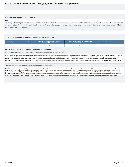### **Actions required in FFY 2016 response**

### none

Note: Any actions required in last year's response table that are related to correction of findings should be responded to on the "Correction of Previous Findings of Noncompliance" page of this indicator. If your State's only actions required in last year's response are related to findings of noncompliance, a text field will not be displayed on this page.

### **Correction of Findings of Noncompliance Identified in FFY 2016**

| Findings of Noncompliance Identified | <b>Findings of Noncompliance Verified as</b><br><b>Corrected Within One Year</b> | <b>Findings of Noncompliance Subsequently</b><br>Corrected | <b>Findings Not Yet Verified as Corrected</b> |
|--------------------------------------|----------------------------------------------------------------------------------|------------------------------------------------------------|-----------------------------------------------|
|                                      |                                                                                  |                                                            |                                               |

### **FFY 2016 Findings of Noncompliance Verified as Corrected**

Describe how the State verified that the source of noncompliance is correctly implementing the regulatory requirements

In each case of noncompliance, the Co-Leads notified the EIS program in writing concerning the finding of noncompliance and the requirement that the noncompliance be corrected as soon as possible, but in no case more than one year from identification. The State verified that each EIS program not in compliance correctly implemented the specific regulatory requirement and ensured that all children exiting Part C received an IFSP with transition steps and services prior to exiting Part C. Each EIS program was required to develop and implement a Corrective Action Plan. In addition, the Co-Leads reviewed different files of children exiting Part C for assurance that compliance was met and the CAP-related processes, as well as specific regulatory requirements were implemented. Within one year of identification each EIS program was found to be in 100% compliance.

### Describe how the State verified that each individual case of noncompliance was corrected

Each EIS program was required to develop and implement a Corrective Action Plan to ensure correction of noncompliance within one year. The Co-Leads monitored the implementation of the Corrective Action Plan. In addition, the Co-Leads reviewed additional files of children exiting Part C for assurance that compliance was met and the CAP-related processes, as well as specific regulatory requirements, were implemented. Within one year of identification each EIS program was found to be in 100% compliance. The requirements and appropriate documentation of transition plans for children exiting Part C will continue to be a training topic to ensure that EIS programs correctly implement the specific regulatory requirements and have strategies in place to ensure compliance. The state has verified that each EIS program was correctly implementing the specific regulatory requirements and ensured that all children, who had not yet exited Part C, were provided with appropriate transition plans documenting all necessary transition steps and services prior to the children exiting Part C.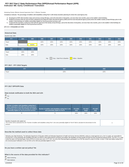# **Indicator 8B: Early Childhood Transition FFY 2017 Part C State Performance Plan (SPP)/Annual Performance Report (APR)**

### Monitoring Priority: Effective General Supervision Part C / Effective Transition

**Compliance indicator: The percentage of toddlers with disabilities exiting Part C with timely transition planning for whom the Lead Agency has:**

- **A. Developed an IFSP with transition steps and services at least 90 days, and at the discretion of all parties, not more than nine months, prior to the toddler's third birthday;**
- **Notified (consistent with any opt-out policy adopted by the State) the State educational agency (SEA) and the local educational agency (LEA) where the toddler resides at least 90 days prior to the B. toddler's third birthday for toddlers potentially eligible for Part B preschool services; and**
- C. Conducted the transition conference held with the approval of the family at least 90 days, and at the discretion of all parties, not more than nine months, prior to the toddler's third birthday for **toddlers potentially eligible for Part B preschool services.**

**(20 U.S.C. 1416(a)(3)(B) and 1442)**

# **Historical Data**

# Baseline Data: 2005

| <b>FFY</b> | 2004 | 2005   | 2006 | 2007 | 2008 | 2009 | 2010 | 2011 | 2012 | 2013 | 2014 |
|------------|------|--------|------|------|------|------|------|------|------|------|------|
| Target     |      |        | 100% | 100% | 100% | 100% | 100% | 100% | 100% | 100% | 100% |
| Data       |      | 86.00% | 100% | 100% | 100% | 100% | 100% | 100% | 100% | 100% | 100% |
| <b>FFY</b> | 2015 | 2016   |      |      |      |      |      |      |      |      |      |
|            |      |        |      |      |      |      |      |      |      |      |      |
| Target     | 100% | 100%   |      |      |      |      |      |      |      |      |      |
|            |      |        |      |      |      |      |      |      |      |      |      |

Key: Gray – Data Prior to Baseline Yellow – Baseline

# **FFY 2017 - FFY 2018 Targets**

| --v    | 2017 | 2018 |
|--------|------|------|
| Target | 100% | 100% |

# **FFY 2017 SPP/APR Data**

# **Data include notification to both the SEA and LEA**

 Yes  $C_{N_0}$ 

| Number of toddlers with disabilities exiting Part C<br>where notification to the SEA and LEA occurred at<br>least 90 days prior to their third birthday for toddlers<br>potentially eligible for Part B preschool services | Number of toddlers with disabilities exiting Part C who<br>were potentially eligible for Part B | <b>FFY 2016</b><br><b>Data</b> | <b>FFY 2017</b><br><b>Target</b> | <b>FFY 2017</b><br><b>Data</b> |
|----------------------------------------------------------------------------------------------------------------------------------------------------------------------------------------------------------------------------|-------------------------------------------------------------------------------------------------|--------------------------------|----------------------------------|--------------------------------|
| 72                                                                                                                                                                                                                         |                                                                                                 | 100%                           | 100%                             | 100%                           |

### **Number of parents who opted out**

| This number will be subtracted from the "Number of toddlers with disabilities exiting Part C who were potentially eligible for Part B" field to calculate the denominator for this |  |
|------------------------------------------------------------------------------------------------------------------------------------------------------------------------------------|--|
| <i>indicator.</i>                                                                                                                                                                  |  |

0

# **Describe the method used to collect these data**

Nebraska uses State Monitoring. The Nebraska Department of Education (NDE) and Nebraska Department of Health and Human Services (NDHHS), acting as co-lead agencies (a.k.a. the Co-Leads), are responsible for ensuring Part C of the Individuals with Disabilities Education Act (IDEA) is fully implemented for all infants and toddlers with disabilities and their families through the Early Development Network (EDN). The Part C Co-Le monitor the state's 29 Planning Region Teams (PRTs) on a three year cycle. In FFY 2017, ten (10) of the Planning Regions participated in an IFSP file review for a total of 144 files, of which 72 files had children exiting who received proper Notification to LEA and SEA as the child was potentially eligible for Part B.

**Do you have a written opt-out policy? No**

### **What is the source of the data provided for this indicator?**

**State monitoring** 

State database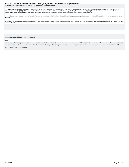# **Describe the method used to select EIS programs for monitoring. FFY 2017 Part C State Performance Plan (SPP)/Annual Performance Report (APR)**

The Nebraska Department of Education (NDE) and Nebraska Department of Health and Human Services (NDHHS), acting as co-lead agencies (the Co-Leads), are responsible for ensuring Part C of the Individuals with Disabilities Education Act (IDEA) is fully implemented for all infants and toddlers with disabilities and their families through the Early Development Network (EDN). The Part C Co-Leads monitor the state's 29 Planning<br>Regi

The Individualized Family Service Plan (IFSP) checklist file review for Improving Learning for children with Disabilities (ILCD) gathers data regarding the timely transition of infants/toddlers from the Part C early interv program.

In FFY 2017, ten (10) of the Planning Regions participated in an IFSP file review for a total of 144 files, of which 72 files had children exiting Part C who received proper Notification to LEA and SEA as the child was pot eligible for Part B.

### **Actions required in FFY 2016 response**

### none

Note: Any actions required in last year's response table that are related to correction of findings should be responded to on the "Correction of Previous Findings of Noncompliance" page of this indicator. If your State's only actions required in last year's response are related to findings of noncompliance, a text field will not be displayed on this page.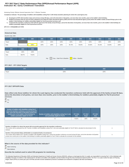# **Indicator 8C: Early Childhood Transition FFY 2017 Part C State Performance Plan (SPP)/Annual Performance Report (APR)**

# Monitoring Priority: Effective General Supervision Part C / Effective Transition

**Compliance indicator: The percentage of toddlers with disabilities exiting Part C with timely transition planning for whom the Lead Agency has:**

- **A. Developed an IFSP with transition steps and services at least 90 days, and at the discretion of all parties, not more than nine months, prior to the toddler's third birthday;**
- **Notified (consistent with any opt-out policy adopted by the State) the State educational agency (SEA) and the local educational agency (LEA) where the toddler resides at least 90 days prior to the B. toddler's third birthday for toddlers potentially eligible for Part B preschool services; and**
- C. Conducted the transition conference held with the approval of the family at least 90 days, and at the discretion of all parties, not more than nine months, prior to the toddler's third birthday for **toddlers potentially eligible for Part B preschool services.**

**(20 U.S.C. 1416(a)(3)(B) and 1442)**

# **Historical Data**

# Baseline Data: 2005

| <b>FFY</b> | 2004   | 2005   | 2006 | 2007 | 2008 | 2009   | 2010                                                 | 2011   | 2012   | 2013   |
|------------|--------|--------|------|------|------|--------|------------------------------------------------------|--------|--------|--------|
| Target     |        |        | 100% | 100% | 100% | 100%   | 100%                                                 | 100%   | 100%   | 100%   |
| Data       |        | 100%   | 100% | 100% | 100% | 95.70% | 95.00%                                               | 84.00% | 93.10% | 92.00% |
|            |        |        |      |      |      |        |                                                      |        |        |        |
| <b>FFY</b> | 2015   | 2016   |      |      |      |        |                                                      |        |        |        |
| Target     | 100%   | 100%   |      |      |      |        |                                                      |        |        |        |
| Data       | 96.97% | 76.92% |      |      |      |        |                                                      |        |        |        |
|            |        |        |      |      |      |        | $\overline{\phantom{a}}$<br>$\overline{\phantom{0}}$ |        |        |        |

Key: Gray – Data Prior to Baseline Yellow – Baseline

# **FFY 2017 - FFY 2018 Targets**

| FFY    | 2017 | 2018 |
|--------|------|------|
| Target | 100% | 100% |
|        |      |      |

# **FFY 2017 SPP/APR Data**

**Data reflect only those toddlers for whom the Lead Agency has conducted the transition conference held with the approval of the family at least 90 days, and at the discretion of all parties, not more than nine months, prior to the toddler's third birthday for toddlers potentially eligible for Part B preschool services**

# Yes  $C_{\text{No}}$

| Number of toddlers with disabilities exiting Part C<br>where the transition conference occurred at least 90<br>days, and at the discretion of all parties at least nine<br>months prior to the toddler's third birthday for<br>toddlers potentially eligible for Part B | Number of toddlers with disabilities exiting Part C who<br>were potentially eligible for Part B | <b>FFY 2016</b><br>Data | <b>FFY 2017</b><br><b>Target</b> | <b>FFY 2017</b><br><b>Data</b> |
|-------------------------------------------------------------------------------------------------------------------------------------------------------------------------------------------------------------------------------------------------------------------------|-------------------------------------------------------------------------------------------------|-------------------------|----------------------------------|--------------------------------|
| 69                                                                                                                                                                                                                                                                      | 72                                                                                              | 76.92%                  | 100%                             | 95.83%                         |

| Number of toddlers for whom the parent did not provide approval for the transition conference<br>This number will be subtracted from the "Number of toddlers with disabilities exiting Part C who were potentially eligible for Part B" field to calculate the denominator for this<br>indicator.                                                                                                                                      |  |
|----------------------------------------------------------------------------------------------------------------------------------------------------------------------------------------------------------------------------------------------------------------------------------------------------------------------------------------------------------------------------------------------------------------------------------------|--|
| Number of documented delays attributable to exceptional family circumstances<br>This number will be added to the "Number of toddlers with disabilities exiting Part C where the transition conference occurred at least 90 days, and at the discretion of all parties<br>at least nine months prior to the toddler's third birthday for toddlers potentially eligible for Part B" field to calculate the numerator for this indicator. |  |

# **What is the source of the data provided for this indicator?**

State monitoring

State database

**Describe the method used to select EIS programs for monitoring.**

The Nebraska Department of Education (NDE) and Nebraska Department of Health and Human Services (NDHHS), acting as co-lead agencies (the Co-Leads), are responsible for ensuring Part C of the Individuals with Disabilities Education Act (IDEA) is fully implemented for all infants and toddlers with disabilities and their families through the Early Development Network (EDN). The Part C Co-Leads monitor the state's 29 Planning<br>Regi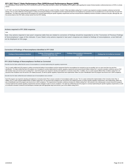FFY 2017 Part C State Performance Plan (SPP)/Annual Performance Report (APR)<br>The Individualized Family Service Plan (IFSP) checklist file review for Improving Learning for children with Disabilities (ILCD) gathers data reg manner.

In FFY 2017, ten (10) of the Planning Regions participated in an IFSP file review for a total of 144 files, of which 72 files had children exiting Part C in which it was required to conduct a transition conference by the t birthday. The Co-Leads notified the 3 EIS programs in writing concerning the findings of noncompliance and the requirement that the noncompliance be corrected as soon as possible but in no case more than one year from identification. The State has verified that the EIS programs are correctly implementing the specific regulatory requirements and have ensured that the child/family received a transition conference and plan, although late, the services listed on the IFSP within a timely manner from the IFSP meeting.

### **Actions required in FFY 2016 response**

none

Note: Any actions required in last year's response table that are related to correction of findings should be responded to on the "Correction of Previous Findings of Noncompliance" page of this indicator. If your State's only actions required in last year's response are related to findings of noncompliance, a text field will not be displayed on this page.

### **Correction of Findings of Noncompliance Identified in FFY 2016**

| <b>Findings of Noncompliance Identified</b> | <b>Findings of Noncompliance Verified as</b><br><b>Corrected Within One Year</b> | <b>Findings of Noncompliance Subsequently</b><br>Corrected | <b>Findings Not Yet Verified as Corrected</b> |  |  |
|---------------------------------------------|----------------------------------------------------------------------------------|------------------------------------------------------------|-----------------------------------------------|--|--|
|                                             |                                                                                  |                                                            |                                               |  |  |

### **FFY 2016 Findings of Noncompliance Verified as Corrected**

Describe how the State verified that the source of noncompliance is correctly implementing the regulatory requirements

The Co-Leads notified each EIS program in writing concerning the finding of noncompliance and the requirement that the noncompliance be corrected as soon as possible, but in no case more than one year from identification. The State verified that each EIS program not in compliance correctly implemented the specific regulatory requirement and ensured that all children exiting Part C received a transition conference and an IFSP with transition steps and services prior to exiting Part C. Each EIS program was required to develop and implement a Corrective Action Plan. In addition, the Co-Leads reviewed different files of children exiting Part C for assurance that compliance was met and the CAP-related processes, as well as specific regulatory requirements were implemented. Within one year of identification each EIS program was found to be in 100% compliance.

### Describe how the State verified that each individual case of noncompliance was corrected

Each EIS program was required to develop and implement a Corrective Action Plan to ensure correction of noncompliance within one year. The Co-Leads monitored the implementation of the Corrective Action Plan. In addition, the Co-Leads reviewed additional files of children exiting Part C for assurance that compliance was met and the CAP-related processes, as well as specific regulatory requirements, were implemented. Within one year of identification each EIS program was found to be in 100% compliance. The requirements of transition conference timelines for children exiting Part C will continue to be a training topic to ensure that all EIS progra correctly implement the specific regulatory requirements and have strategies in plan to ensure compliance. The state has verified that each EIS program is correctly implementing the specific regulatory requirements, as wel as conducted a transition conference and developed a transition plan with appropriate steps and services, prior to the children exiting Part C.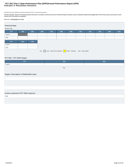# **Indicator 9: Resolution Sessions FFY 2017 Part C State Performance Plan (SPP)/Annual Performance Report (APR)**

Monitoring Priority: Effective General Supervision Part C / General Supervision

Results indicator: Percent of hearing requests that went to resolution sessions that were resolved through resolution session settlement agreements (applicable if Part B due process procedures under<br>section 615 of the IDEA

# **(20 U.S.C. 1416(a)(3)(B) and 1442)**

| <b>Historical Data</b><br>Baseline Data: |      |      |      |      |                                                                         |      |      |      |      |      |      |
|------------------------------------------|------|------|------|------|-------------------------------------------------------------------------|------|------|------|------|------|------|
| <b>FFY</b>                               | 2004 | 2005 | 2006 | 2007 | 2008                                                                    | 2009 | 2010 | 2011 | 2012 | 2013 | 2014 |
| Target $\geq$                            |      |      |      |      |                                                                         |      |      |      |      |      |      |
| Data                                     |      |      |      |      |                                                                         |      |      |      |      |      |      |
| <b>FFY</b>                               | 2015 | 2016 |      |      |                                                                         |      |      |      |      |      |      |
| Target $\geq$                            |      |      |      |      |                                                                         |      |      |      |      |      |      |
| Data                                     |      |      |      |      |                                                                         |      |      |      |      |      |      |
|                                          |      |      |      |      | Key: Gray - Data Prior to Baseline Yellow - Baseline Blue - Data Update |      |      |      |      |      |      |

# **FFY 2017 - FFY 2018 Targets**

| FFY                                       | 2017 | 2018 |  |  |  |  |  |  |  |
|-------------------------------------------|------|------|--|--|--|--|--|--|--|
| Target $\geq$                             |      |      |  |  |  |  |  |  |  |
|                                           | Key: |      |  |  |  |  |  |  |  |
|                                           |      |      |  |  |  |  |  |  |  |
| Targets: Description of Stakeholder Input |      |      |  |  |  |  |  |  |  |
|                                           |      |      |  |  |  |  |  |  |  |
|                                           |      |      |  |  |  |  |  |  |  |
|                                           |      |      |  |  |  |  |  |  |  |
|                                           |      |      |  |  |  |  |  |  |  |

# **Actions required in FFY 2016 response**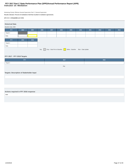# **Indicator 10: Mediation FFY 2017 Part C State Performance Plan (SPP)/Annual Performance Report (APR)**

Monitoring Priority: Effective General Supervision Part C / General Supervision

**Results indicator: Percent of mediations held that resulted in mediation agreements.**

# **(20 U.S.C. 1416(a)(3)(B) and 1442)**

| <b>Historical Data</b> |      |      |      |      |      |      |                                                 |                    |      |      |
|------------------------|------|------|------|------|------|------|-------------------------------------------------|--------------------|------|------|
|                        |      |      |      |      |      |      |                                                 |                    |      |      |
| Baseline Data: 2005    |      |      |      |      |      |      |                                                 |                    |      |      |
| <b>FFY</b>             | 2004 | 2005 | 2006 | 2007 | 2008 | 2009 | 2010                                            | 2011               | 2012 | 2013 |
| Target $\geq$          |      |      |      |      |      |      |                                                 |                    |      |      |
| Data                   |      |      |      |      |      |      |                                                 |                    |      |      |
|                        |      |      |      |      |      |      |                                                 |                    |      |      |
| <b>FFY</b>             | 2015 | 2016 |      |      |      |      |                                                 |                    |      |      |
| Target $\geq$          |      |      |      |      |      |      |                                                 |                    |      |      |
| Data                   |      |      |      |      |      |      |                                                 |                    |      |      |
|                        |      |      | Key: |      |      |      | Gray - Data Prior to Baseline Yellow - Baseline | Blue - Data Update |      |      |
|                        |      |      |      |      |      |      |                                                 |                    |      |      |

# **FFY 2017 - FFY 2018 Targets**

| FFY                                       | 2017 | 2018 |  |  |  |  |  |  |
|-------------------------------------------|------|------|--|--|--|--|--|--|
| Target $\geq$                             |      |      |  |  |  |  |  |  |
|                                           | Key: |      |  |  |  |  |  |  |
|                                           |      |      |  |  |  |  |  |  |
| Targets: Description of Stakeholder Input |      |      |  |  |  |  |  |  |
|                                           |      |      |  |  |  |  |  |  |
|                                           |      |      |  |  |  |  |  |  |
|                                           |      |      |  |  |  |  |  |  |
|                                           |      |      |  |  |  |  |  |  |

# **Actions required in FFY 2016 response**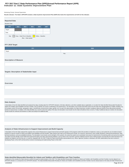# **Indicator 11: State Systemic Improvement Plan FFY 2017 Part C State Performance Plan (SPP)/Annual Performance Report (APR)**

# Monitoring Priority: General Supervision

**Results indicator: The State's SPP/APR includes a State Systemic Improvement Plan (SSIP) that meets the requirements set forth for this indicator.** Indicator 4



# **FFY 2018 Target**

| <b>FFY</b> | 2018 |  |
|------------|------|--|
| Target     |      |  |
| Key:       |      |  |

### **Description of Measure**

**Targets: Description of Stakeholder Input**

# **Overview**

### **Data Analysis**

A description of how the State identified and analyzed key data, including data from SPP/APR indicators, 618 data collections, and other available data as applicable, to: (1) select the State-identified Measurable Result(s Infants and Toddlers with Disabilities and their Families, and (2) identify root causes contributing to low performance. The description must include information about how the data were disaggregated by multiple variables EIS program and/or EIS provider, geographic region, race/ethnicity, socioeconomic status, gender, etc.) As part of its data analysis, the State should also consider compliance data and whether those data present potential barriers to improvement. In addition, if the State identifies any concerns about the quality of the data, the description must include how the State will address these concerns. Finally, if additional data are needed, the should include the methods and timelines to collect and analyze the additional data.

### **Analysis of State Infrastructure to Support Improvement and Build Capacity**

A description of how the State analyzed the capacity of its current infrastructure to support improvement and build capacity in EIS programs and/or EIS providers to implement, scale up, and sustain the use of evidence-base practices to improve results for infants and toddlers with disabilities and their families. State systems that make up its infrastructure include, at a minimum: governance, fiscal, quality standards, professional developme technical assistance, and accountability/monitoring. The description must include current strengths of the systems, the extent the systems are coordinated, and areas for improvement of functioning within and across the sys The State must also identify current State-level improvement plans and other early learning initiatives, such as Race to the Top-Early Learning Challenge and the Home Visiting program and describe the extent that these new initiatives are aligned, and how they are, or could be, integrated with, the SSIP. Finally, the State should identify representatives (e.g., offices, agencies, positions, individuals, and other stakeholders) that were invo developing Phase I of the SSIP and that will be involved in developing and implementing Phase II of the SSIP.

**State-identified Measurable Result(s) for Infants and Toddlers with Disabilities and Their Families**

A statement of the result(s) the State intends to achieve through the implementation of the SSIP. The State-identified Measurable Result(s) for Infants and Toddlers with Disabilities and their Families must be aligned to a SPP/APR indicator or a component of an SPP/APR indicator. The State-identified Measurable Result(s) for Infants and Toddlers with Disabilities and their Families must be clearly based on the Data and State Infrastructure